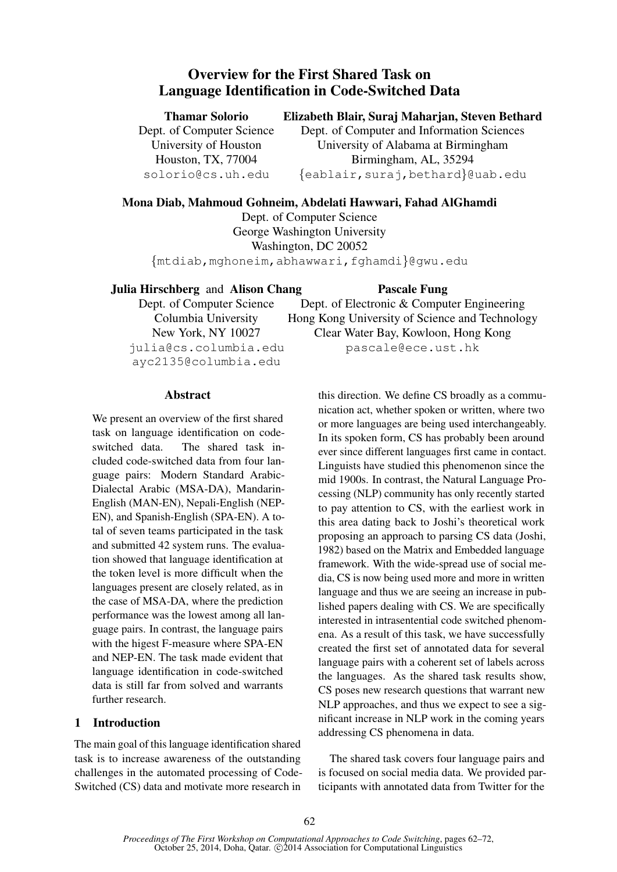# Overview for the First Shared Task on Language Identification in Code-Switched Data

Thamar Solorio

Dept. of Computer Science University of Houston Houston, TX, 77004 solorio@cs.uh.edu

# Elizabeth Blair, Suraj Maharjan, Steven Bethard

Dept. of Computer and Information Sciences University of Alabama at Birmingham Birmingham, AL, 35294 {eablair,suraj,bethard}@uab.edu

# Mona Diab, Mahmoud Gohneim, Abdelati Hawwari, Fahad AlGhamdi

Dept. of Computer Science George Washington University Washington, DC 20052

{mtdiab,mghoneim,abhawwari,fghamdi}@gwu.edu

Julia Hirschberg and Alison Chang

Dept. of Computer Science Columbia University New York, NY 10027 julia@cs.columbia.edu ayc2135@columbia.edu

Pascale Fung

Dept. of Electronic & Computer Engineering Hong Kong University of Science and Technology Clear Water Bay, Kowloon, Hong Kong pascale@ece.ust.hk

Abstract

We present an overview of the first shared task on language identification on codeswitched data. The shared task included code-switched data from four language pairs: Modern Standard Arabic-Dialectal Arabic (MSA-DA), Mandarin-English (MAN-EN), Nepali-English (NEP-EN), and Spanish-English (SPA-EN). A total of seven teams participated in the task and submitted 42 system runs. The evaluation showed that language identification at the token level is more difficult when the languages present are closely related, as in the case of MSA-DA, where the prediction performance was the lowest among all language pairs. In contrast, the language pairs with the higest F-measure where SPA-EN and NEP-EN. The task made evident that language identification in code-switched data is still far from solved and warrants further research.

# 1 Introduction

The main goal of this language identification shared task is to increase awareness of the outstanding challenges in the automated processing of Code-Switched (CS) data and motivate more research in

this direction. We define CS broadly as a communication act, whether spoken or written, where two or more languages are being used interchangeably. In its spoken form, CS has probably been around ever since different languages first came in contact. Linguists have studied this phenomenon since the mid 1900s. In contrast, the Natural Language Processing (NLP) community has only recently started to pay attention to CS, with the earliest work in this area dating back to Joshi's theoretical work proposing an approach to parsing CS data (Joshi, 1982) based on the Matrix and Embedded language framework. With the wide-spread use of social media, CS is now being used more and more in written language and thus we are seeing an increase in published papers dealing with CS. We are specifically interested in intrasentential code switched phenomena. As a result of this task, we have successfully created the first set of annotated data for several language pairs with a coherent set of labels across the languages. As the shared task results show, CS poses new research questions that warrant new NLP approaches, and thus we expect to see a significant increase in NLP work in the coming years addressing CS phenomena in data.

The shared task covers four language pairs and is focused on social media data. We provided participants with annotated data from Twitter for the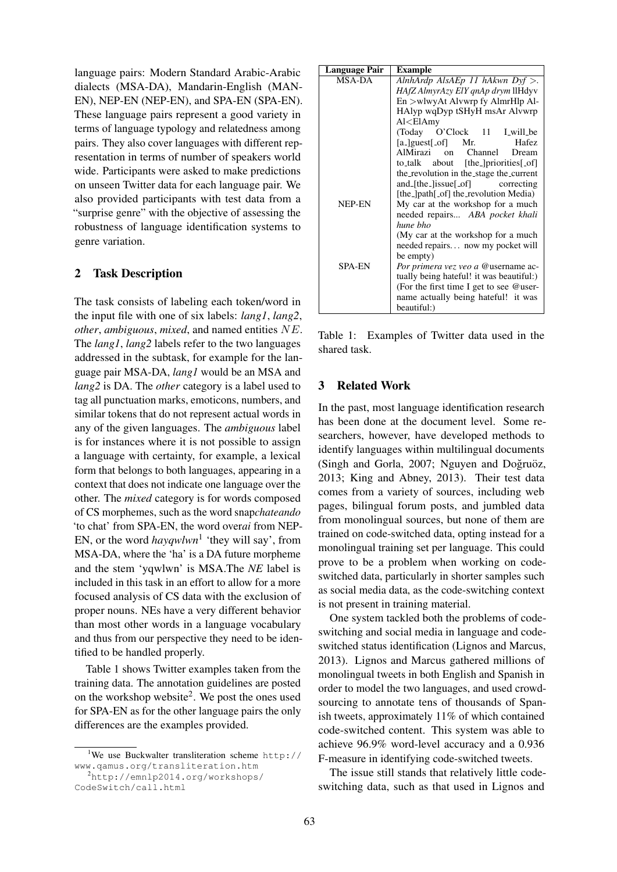language pairs: Modern Standard Arabic-Arabic dialects (MSA-DA), Mandarin-English (MAN-EN), NEP-EN (NEP-EN), and SPA-EN (SPA-EN). These language pairs represent a good variety in terms of language typology and relatedness among pairs. They also cover languages with different representation in terms of number of speakers world wide. Participants were asked to make predictions on unseen Twitter data for each language pair. We also provided participants with test data from a "surprise genre" with the objective of assessing the robustness of language identification systems to genre variation.

## 2 Task Description

The task consists of labeling each token/word in the input file with one of six labels: *lang1*, *lang2*, *other*, *ambiguous*, *mixed*, and named entities NE. The *lang1*, *lang2* labels refer to the two languages addressed in the subtask, for example for the language pair MSA-DA, *lang1* would be an MSA and *lang2* is DA. The *other* category is a label used to tag all punctuation marks, emoticons, numbers, and similar tokens that do not represent actual words in any of the given languages. The *ambiguous* label is for instances where it is not possible to assign a language with certainty, for example, a lexical form that belongs to both languages, appearing in a context that does not indicate one language over the other. The *mixed* category is for words composed of CS morphemes, such as the word snap*chateando* 'to chat' from SPA-EN, the word over*ai* from NEP-EN, or the word *hayqwlwn*<sup>1</sup> 'they will say', from MSA-DA, where the 'ha' is a DA future morpheme and the stem 'yqwlwn' is MSA.The *NE* label is included in this task in an effort to allow for a more focused analysis of CS data with the exclusion of proper nouns. NEs have a very different behavior than most other words in a language vocabulary and thus from our perspective they need to be identified to be handled properly.

Table 1 shows Twitter examples taken from the training data. The annotation guidelines are posted on the workshop website<sup>2</sup>. We post the ones used for SPA-EN as for the other language pairs the only differences are the examples provided.

| Language Pair | <b>Example</b>                                                   |  |  |  |  |  |  |  |
|---------------|------------------------------------------------------------------|--|--|--|--|--|--|--|
| <b>MSA-DA</b> | Alnh $\text{Ardp}$ Als $\text{AEp}$ 11 h $\text{Akwn}$ Dyf $>$ . |  |  |  |  |  |  |  |
|               | HAfZ AlmyrAzy ElY qnAp drym llHdyy                               |  |  |  |  |  |  |  |
|               | $En >$ wlwy $At$ Alvwrp fy Almr $H$ lp Al-                       |  |  |  |  |  |  |  |
|               | HAlyp wqDyp tSHyH msAr Alvwrp                                    |  |  |  |  |  |  |  |
|               | $Al < E$ lAmy                                                    |  |  |  |  |  |  |  |
|               | (Today O'Clock 11 Lwill_be)                                      |  |  |  |  |  |  |  |
|               | $[a_$ [guest[of] Mr.<br>Hafez                                    |  |  |  |  |  |  |  |
|               | AlMirazi on Channel<br>Dream                                     |  |  |  |  |  |  |  |
|               | to_talk about [the_]priorities[_of]                              |  |  |  |  |  |  |  |
|               | the_revolution in the_stage the_current                          |  |  |  |  |  |  |  |
|               | and [the $\lceil$ issue $\lceil$ of $\rceil$<br>correcting       |  |  |  |  |  |  |  |
|               | [the_]path[_of] the_revolution Media)                            |  |  |  |  |  |  |  |
| NEP-EN        | My car at the workshop for a much                                |  |  |  |  |  |  |  |
|               | needed repairs ABA pocket khali                                  |  |  |  |  |  |  |  |
|               | hune bho                                                         |  |  |  |  |  |  |  |
|               | (My car at the workshop for a much                               |  |  |  |  |  |  |  |
|               | needed repairs now my pocket will                                |  |  |  |  |  |  |  |
|               | be empty)                                                        |  |  |  |  |  |  |  |
| <b>SPA-EN</b> | Por primera vez veo a @username ac-                              |  |  |  |  |  |  |  |
|               | tually being hateful! it was beautiful:)                         |  |  |  |  |  |  |  |
|               | (For the first time I get to see @user-                          |  |  |  |  |  |  |  |
|               | name actually being hateful! it was                              |  |  |  |  |  |  |  |
|               | beautiful:)                                                      |  |  |  |  |  |  |  |

Table 1: Examples of Twitter data used in the shared task.

#### 3 Related Work

In the past, most language identification research has been done at the document level. Some researchers, however, have developed methods to identify languages within multilingual documents (Singh and Gorla, 2007; Nguyen and Doğruöz, 2013; King and Abney, 2013). Their test data comes from a variety of sources, including web pages, bilingual forum posts, and jumbled data from monolingual sources, but none of them are trained on code-switched data, opting instead for a monolingual training set per language. This could prove to be a problem when working on codeswitched data, particularly in shorter samples such as social media data, as the code-switching context is not present in training material.

One system tackled both the problems of codeswitching and social media in language and codeswitched status identification (Lignos and Marcus, 2013). Lignos and Marcus gathered millions of monolingual tweets in both English and Spanish in order to model the two languages, and used crowdsourcing to annotate tens of thousands of Spanish tweets, approximately 11% of which contained code-switched content. This system was able to achieve 96.9% word-level accuracy and a 0.936 F-measure in identifying code-switched tweets.

The issue still stands that relatively little codeswitching data, such as that used in Lignos and

<sup>&</sup>lt;sup>1</sup>We use Buckwalter transliteration scheme http:// www.qamus.org/transliteration.htm

<sup>2</sup>http://emnlp2014.org/workshops/ CodeSwitch/call.html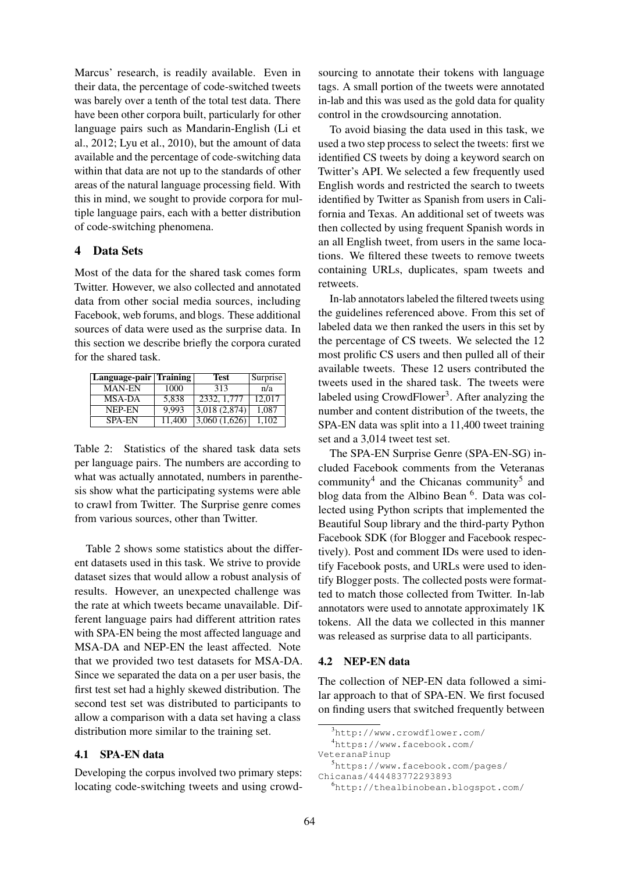Marcus' research, is readily available. Even in their data, the percentage of code-switched tweets was barely over a tenth of the total test data. There have been other corpora built, particularly for other language pairs such as Mandarin-English (Li et al., 2012; Lyu et al., 2010), but the amount of data available and the percentage of code-switching data within that data are not up to the standards of other areas of the natural language processing field. With this in mind, we sought to provide corpora for multiple language pairs, each with a better distribution of code-switching phenomena.

#### 4 Data Sets

Most of the data for the shared task comes form Twitter. However, we also collected and annotated data from other social media sources, including Facebook, web forums, and blogs. These additional sources of data were used as the surprise data. In this section we describe briefly the corpora curated for the shared task.

| Language-pair   Training |        | <b>Test</b>  | Surprise |
|--------------------------|--------|--------------|----------|
| <b>MAN-EN</b>            | 1000   | 313          | n/a      |
| MSA-DA                   | 5,838  | 2332, 1,777  | 12,017   |
| NEP-EN                   | 9.993  | 3,018(2,874) | 1.087    |
| <b>SPA-EN</b>            | 11.400 | 3,060(1,626) | 1.102    |

Table 2: Statistics of the shared task data sets per language pairs. The numbers are according to what was actually annotated, numbers in parenthesis show what the participating systems were able to crawl from Twitter. The Surprise genre comes from various sources, other than Twitter.

Table 2 shows some statistics about the different datasets used in this task. We strive to provide dataset sizes that would allow a robust analysis of results. However, an unexpected challenge was the rate at which tweets became unavailable. Different language pairs had different attrition rates with SPA-EN being the most affected language and MSA-DA and NEP-EN the least affected. Note that we provided two test datasets for MSA-DA. Since we separated the data on a per user basis, the first test set had a highly skewed distribution. The second test set was distributed to participants to allow a comparison with a data set having a class distribution more similar to the training set.

# 4.1 SPA-EN data

Developing the corpus involved two primary steps: locating code-switching tweets and using crowdsourcing to annotate their tokens with language tags. A small portion of the tweets were annotated in-lab and this was used as the gold data for quality control in the crowdsourcing annotation.

To avoid biasing the data used in this task, we used a two step process to select the tweets: first we identified CS tweets by doing a keyword search on Twitter's API. We selected a few frequently used English words and restricted the search to tweets identified by Twitter as Spanish from users in California and Texas. An additional set of tweets was then collected by using frequent Spanish words in an all English tweet, from users in the same locations. We filtered these tweets to remove tweets containing URLs, duplicates, spam tweets and retweets.

In-lab annotators labeled the filtered tweets using the guidelines referenced above. From this set of labeled data we then ranked the users in this set by the percentage of CS tweets. We selected the 12 most prolific CS users and then pulled all of their available tweets. These 12 users contributed the tweets used in the shared task. The tweets were labeled using CrowdFlower<sup>3</sup>. After analyzing the number and content distribution of the tweets, the SPA-EN data was split into a 11,400 tweet training set and a 3,014 tweet test set.

The SPA-EN Surprise Genre (SPA-EN-SG) included Facebook comments from the Veteranas community<sup>4</sup> and the Chicanas community<sup>5</sup> and blog data from the Albino Bean <sup>6</sup>. Data was collected using Python scripts that implemented the Beautiful Soup library and the third-party Python Facebook SDK (for Blogger and Facebook respectively). Post and comment IDs were used to identify Facebook posts, and URLs were used to identify Blogger posts. The collected posts were formatted to match those collected from Twitter. In-lab annotators were used to annotate approximately 1K tokens. All the data we collected in this manner was released as surprise data to all participants.

#### 4.2 NEP-EN data

The collection of NEP-EN data followed a similar approach to that of SPA-EN. We first focused on finding users that switched frequently between

<sup>3</sup>http://www.crowdflower.com/

<sup>4</sup>https://www.facebook.com/

VeteranaPinup

<sup>5</sup>https://www.facebook.com/pages/ Chicanas/444483772293893

<sup>6</sup>http://thealbinobean.blogspot.com/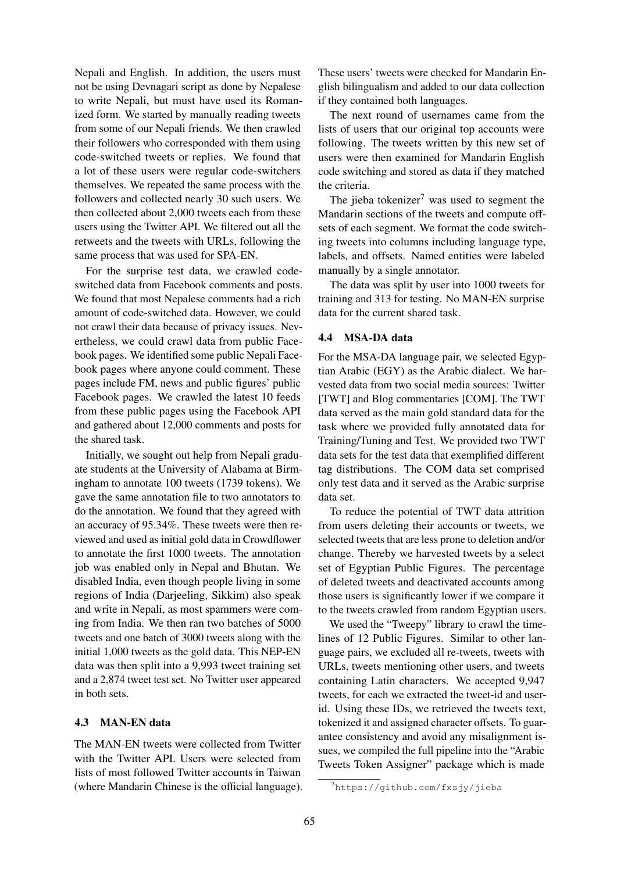Nepali and English. In addition, the users must not be using Devnagari script as done by Nepalese to write Nepali, but must have used its Romanized form. We started by manually reading tweets from some of our Nepali friends. We then crawled their followers who corresponded with them using code-switched tweets or replies. We found that a lot of these users were regular code-switchers themselves. We repeated the same process with the followers and collected nearly 30 such users. We then collected about 2,000 tweets each from these users using the Twitter API. We filtered out all the retweets and the tweets with URLs, following the same process that was used for SPA-EN.

For the surprise test data, we crawled codeswitched data from Facebook comments and posts. We found that most Nepalese comments had a rich amount of code-switched data. However, we could not crawl their data because of privacy issues. Nevertheless, we could crawl data from public Facebook pages. We identified some public Nepali Facebook pages where anyone could comment. These pages include FM, news and public figures' public Facebook pages. We crawled the latest 10 feeds from these public pages using the Facebook API and gathered about 12,000 comments and posts for the shared task.

Initially, we sought out help from Nepali graduate students at the University of Alabama at Birmingham to annotate 100 tweets (1739 tokens). We gave the same annotation file to two annotators to do the annotation. We found that they agreed with an accuracy of 95.34%. These tweets were then reviewed and used as initial gold data in Crowdflower to annotate the first 1000 tweets. The annotation job was enabled only in Nepal and Bhutan. We disabled India, even though people living in some regions of India (Darjeeling, Sikkim) also speak and write in Nepali, as most spammers were coming from India. We then ran two batches of 5000 tweets and one batch of 3000 tweets along with the initial 1,000 tweets as the gold data. This NEP-EN data was then split into a 9,993 tweet training set and a 2,874 tweet test set. No Twitter user appeared in both sets.

#### 4.3 MAN-EN data

The MAN-EN tweets were collected from Twitter with the Twitter API. Users were selected from lists of most followed Twitter accounts in Taiwan (where Mandarin Chinese is the official language). These users' tweets were checked for Mandarin English bilingualism and added to our data collection if they contained both languages.

The next round of usernames came from the lists of users that our original top accounts were following. The tweets written by this new set of users were then examined for Mandarin English code switching and stored as data if they matched the criteria.

The jieba tokenizer<sup>7</sup> was used to segment the Mandarin sections of the tweets and compute offsets of each segment. We format the code switching tweets into columns including language type, labels, and offsets. Named entities were labeled manually by a single annotator.

The data was split by user into 1000 tweets for training and 313 for testing. No MAN-EN surprise data for the current shared task.

#### 4.4 MSA-DA data

For the MSA-DA language pair, we selected Egyptian Arabic (EGY) as the Arabic dialect. We harvested data from two social media sources: Twitter [TWT] and Blog commentaries [COM]. The TWT data served as the main gold standard data for the task where we provided fully annotated data for Training/Tuning and Test. We provided two TWT data sets for the test data that exemplified different tag distributions. The COM data set comprised only test data and it served as the Arabic surprise data set.

To reduce the potential of TWT data attrition from users deleting their accounts or tweets, we selected tweets that are less prone to deletion and/or change. Thereby we harvested tweets by a select set of Egyptian Public Figures. The percentage of deleted tweets and deactivated accounts among those users is significantly lower if we compare it to the tweets crawled from random Egyptian users.

We used the "Tweepy" library to crawl the timelines of 12 Public Figures. Similar to other language pairs, we excluded all re-tweets, tweets with URLs, tweets mentioning other users, and tweets containing Latin characters. We accepted 9,947 tweets, for each we extracted the tweet-id and userid. Using these IDs, we retrieved the tweets text, tokenized it and assigned character offsets. To guarantee consistency and avoid any misalignment issues, we compiled the full pipeline into the "Arabic Tweets Token Assigner" package which is made

<sup>7</sup>https://github.com/fxsjy/jieba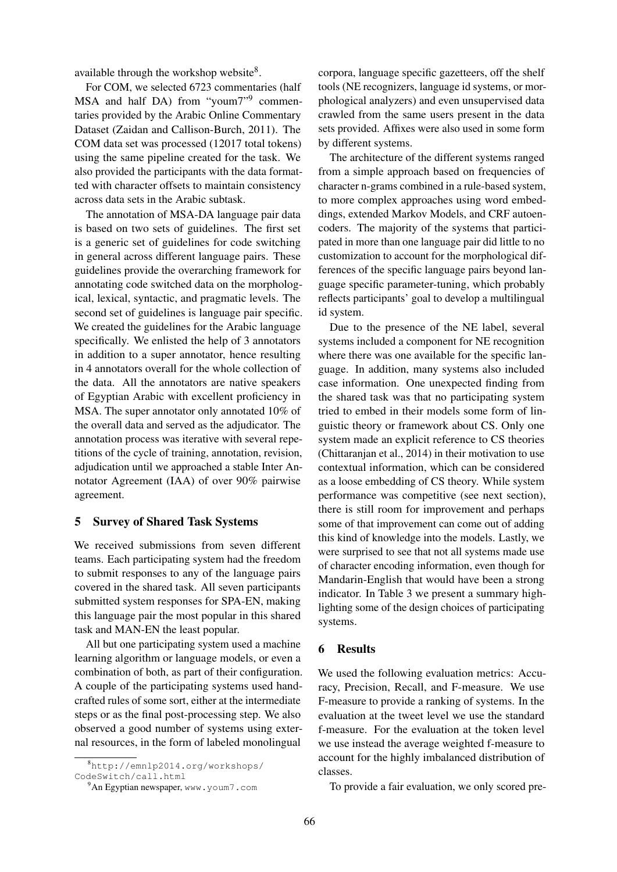available through the workshop website<sup>8</sup>.

For COM, we selected 6723 commentaries (half MSA and half DA) from "youm7"<sup>9</sup> commentaries provided by the Arabic Online Commentary Dataset (Zaidan and Callison-Burch, 2011). The COM data set was processed (12017 total tokens) using the same pipeline created for the task. We also provided the participants with the data formatted with character offsets to maintain consistency across data sets in the Arabic subtask.

The annotation of MSA-DA language pair data is based on two sets of guidelines. The first set is a generic set of guidelines for code switching in general across different language pairs. These guidelines provide the overarching framework for annotating code switched data on the morphological, lexical, syntactic, and pragmatic levels. The second set of guidelines is language pair specific. We created the guidelines for the Arabic language specifically. We enlisted the help of 3 annotators in addition to a super annotator, hence resulting in 4 annotators overall for the whole collection of the data. All the annotators are native speakers of Egyptian Arabic with excellent proficiency in MSA. The super annotator only annotated 10% of the overall data and served as the adjudicator. The annotation process was iterative with several repetitions of the cycle of training, annotation, revision, adjudication until we approached a stable Inter Annotator Agreement (IAA) of over 90% pairwise agreement.

## 5 Survey of Shared Task Systems

We received submissions from seven different teams. Each participating system had the freedom to submit responses to any of the language pairs covered in the shared task. All seven participants submitted system responses for SPA-EN, making this language pair the most popular in this shared task and MAN-EN the least popular.

All but one participating system used a machine learning algorithm or language models, or even a combination of both, as part of their configuration. A couple of the participating systems used handcrafted rules of some sort, either at the intermediate steps or as the final post-processing step. We also observed a good number of systems using external resources, in the form of labeled monolingual

corpora, language specific gazetteers, off the shelf tools (NE recognizers, language id systems, or morphological analyzers) and even unsupervised data crawled from the same users present in the data sets provided. Affixes were also used in some form by different systems.

The architecture of the different systems ranged from a simple approach based on frequencies of character n-grams combined in a rule-based system, to more complex approaches using word embeddings, extended Markov Models, and CRF autoencoders. The majority of the systems that participated in more than one language pair did little to no customization to account for the morphological differences of the specific language pairs beyond language specific parameter-tuning, which probably reflects participants' goal to develop a multilingual id system.

Due to the presence of the NE label, several systems included a component for NE recognition where there was one available for the specific language. In addition, many systems also included case information. One unexpected finding from the shared task was that no participating system tried to embed in their models some form of linguistic theory or framework about CS. Only one system made an explicit reference to CS theories (Chittaranjan et al., 2014) in their motivation to use contextual information, which can be considered as a loose embedding of CS theory. While system performance was competitive (see next section), there is still room for improvement and perhaps some of that improvement can come out of adding this kind of knowledge into the models. Lastly, we were surprised to see that not all systems made use of character encoding information, even though for Mandarin-English that would have been a strong indicator. In Table 3 we present a summary highlighting some of the design choices of participating systems.

#### 6 Results

We used the following evaluation metrics: Accuracy, Precision, Recall, and F-measure. We use F-measure to provide a ranking of systems. In the evaluation at the tweet level we use the standard f-measure. For the evaluation at the token level we use instead the average weighted f-measure to account for the highly imbalanced distribution of classes.

To provide a fair evaluation, we only scored pre-

<sup>8</sup>http://emnlp2014.org/workshops/ CodeSwitch/call.html

<sup>&</sup>lt;sup>9</sup>An Egyptian newspaper, www.youm7.com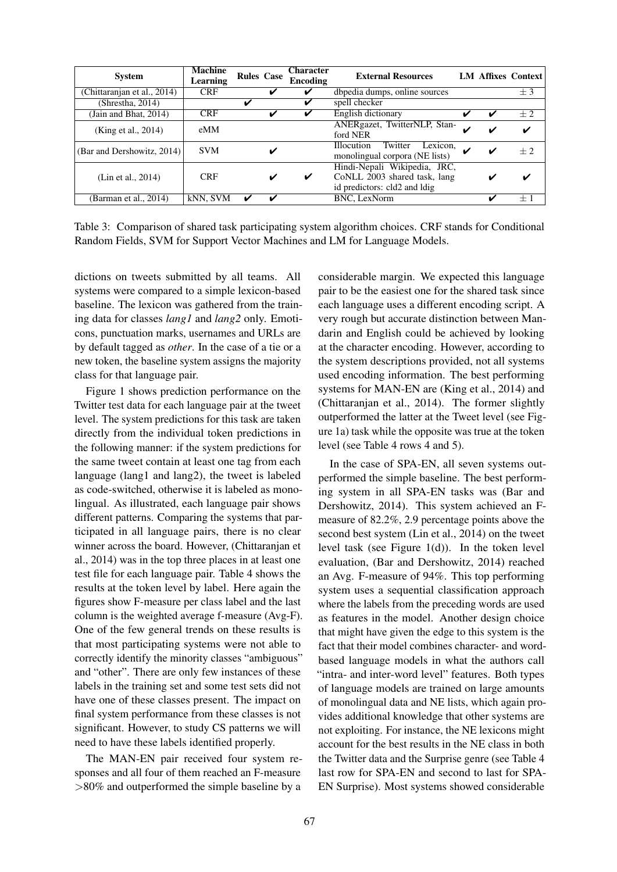| <b>System</b>               | <b>Machine</b><br>Learning | <b>Rules Case</b> |   | <b>Character</b><br>Encoding | <b>External Resources</b>                                                                    |   |   | <b>LM Affixes Context</b> |
|-----------------------------|----------------------------|-------------------|---|------------------------------|----------------------------------------------------------------------------------------------|---|---|---------------------------|
| (Chittaranjan et al., 2014) | <b>CRF</b>                 |                   | ✔ | v                            | dbpedia dumps, online sources                                                                |   |   | ±3                        |
| (Shrestha, 2014)            |                            | ✓                 |   | v                            | spell checker                                                                                |   |   |                           |
| (Jain and Bhat, $2014$ )    | <b>CRF</b>                 |                   |   |                              | English dictionary                                                                           | v | u | $+2$                      |
| (King et al., 2014)         | eMM                        |                   |   |                              | ANERgazet, TwitterNLP, Stan-<br>ford NER                                                     |   | v | ✔                         |
| (Bar and Dershowitz, 2014)  | <b>SVM</b>                 |                   |   |                              | Lexicon,<br>Twitter<br><b>Illocution</b><br>monolingual corpora (NE lists)                   |   | ✔ | $+2$                      |
| (Lin et al., 2014)          | <b>CRF</b>                 |                   |   | ✓                            | Hindi-Nepali Wikipedia, JRC,<br>CoNLL 2003 shared task, lang<br>id predictors: cld2 and ldig |   |   | v                         |
| Barman et al., 2014)        | kNN, SVM                   | ✔                 | ✔ |                              | <b>BNC.</b> LexNorm                                                                          |   | ັ | $+1$                      |

Table 3: Comparison of shared task participating system algorithm choices. CRF stands for Conditional Random Fields, SVM for Support Vector Machines and LM for Language Models.

dictions on tweets submitted by all teams. All systems were compared to a simple lexicon-based baseline. The lexicon was gathered from the training data for classes *lang1* and *lang2* only. Emoticons, punctuation marks, usernames and URLs are by default tagged as *other*. In the case of a tie or a new token, the baseline system assigns the majority class for that language pair.

Figure 1 shows prediction performance on the Twitter test data for each language pair at the tweet level. The system predictions for this task are taken directly from the individual token predictions in the following manner: if the system predictions for the same tweet contain at least one tag from each language (lang1 and lang2), the tweet is labeled as code-switched, otherwise it is labeled as monolingual. As illustrated, each language pair shows different patterns. Comparing the systems that participated in all language pairs, there is no clear winner across the board. However, (Chittaranjan et al., 2014) was in the top three places in at least one test file for each language pair. Table 4 shows the results at the token level by label. Here again the figures show F-measure per class label and the last column is the weighted average f-measure (Avg-F). One of the few general trends on these results is that most participating systems were not able to correctly identify the minority classes "ambiguous" and "other". There are only few instances of these labels in the training set and some test sets did not have one of these classes present. The impact on final system performance from these classes is not significant. However, to study CS patterns we will need to have these labels identified properly.

The MAN-EN pair received four system responses and all four of them reached an F-measure >80% and outperformed the simple baseline by a considerable margin. We expected this language pair to be the easiest one for the shared task since each language uses a different encoding script. A very rough but accurate distinction between Mandarin and English could be achieved by looking at the character encoding. However, according to the system descriptions provided, not all systems used encoding information. The best performing systems for MAN-EN are (King et al., 2014) and (Chittaranjan et al., 2014). The former slightly outperformed the latter at the Tweet level (see Figure 1a) task while the opposite was true at the token level (see Table 4 rows 4 and 5).

In the case of SPA-EN, all seven systems outperformed the simple baseline. The best performing system in all SPA-EN tasks was (Bar and Dershowitz, 2014). This system achieved an Fmeasure of 82.2%, 2.9 percentage points above the second best system (Lin et al., 2014) on the tweet level task (see Figure 1(d)). In the token level evaluation, (Bar and Dershowitz, 2014) reached an Avg. F-measure of 94%. This top performing system uses a sequential classification approach where the labels from the preceding words are used as features in the model. Another design choice that might have given the edge to this system is the fact that their model combines character- and wordbased language models in what the authors call "intra- and inter-word level" features. Both types of language models are trained on large amounts of monolingual data and NE lists, which again provides additional knowledge that other systems are not exploiting. For instance, the NE lexicons might account for the best results in the NE class in both the Twitter data and the Surprise genre (see Table 4 last row for SPA-EN and second to last for SPA-EN Surprise). Most systems showed considerable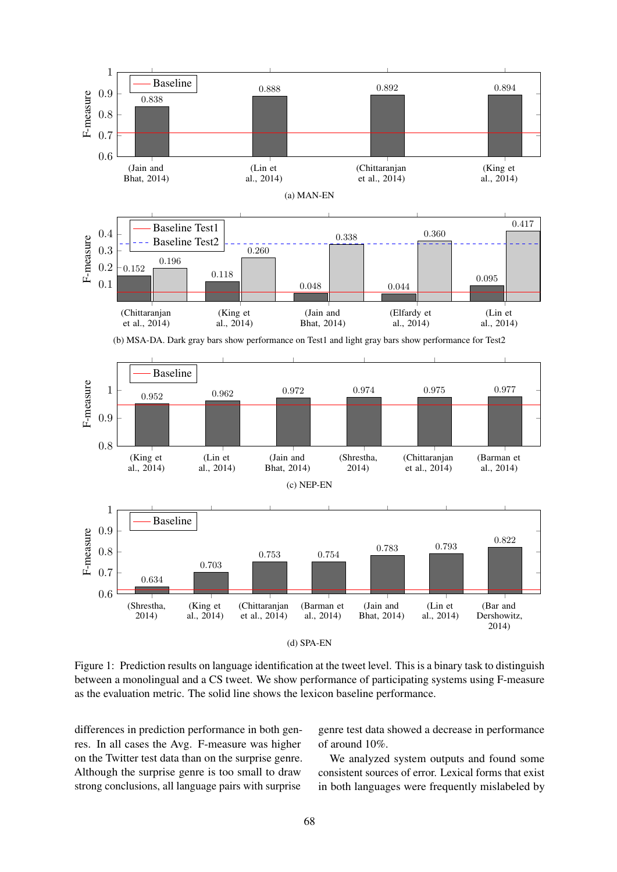

Figure 1: Prediction results on language identification at the tweet level. This is a binary task to distinguish between a monolingual and a CS tweet. We show performance of participating systems using F-measure as the evaluation metric. The solid line shows the lexicon baseline performance.

differences in prediction performance in both genres. In all cases the Avg. F-measure was higher on the Twitter test data than on the surprise genre. Although the surprise genre is too small to draw strong conclusions, all language pairs with surprise

genre test data showed a decrease in performance of around 10%.

We analyzed system outputs and found some consistent sources of error. Lexical forms that exist in both languages were frequently mislabeled by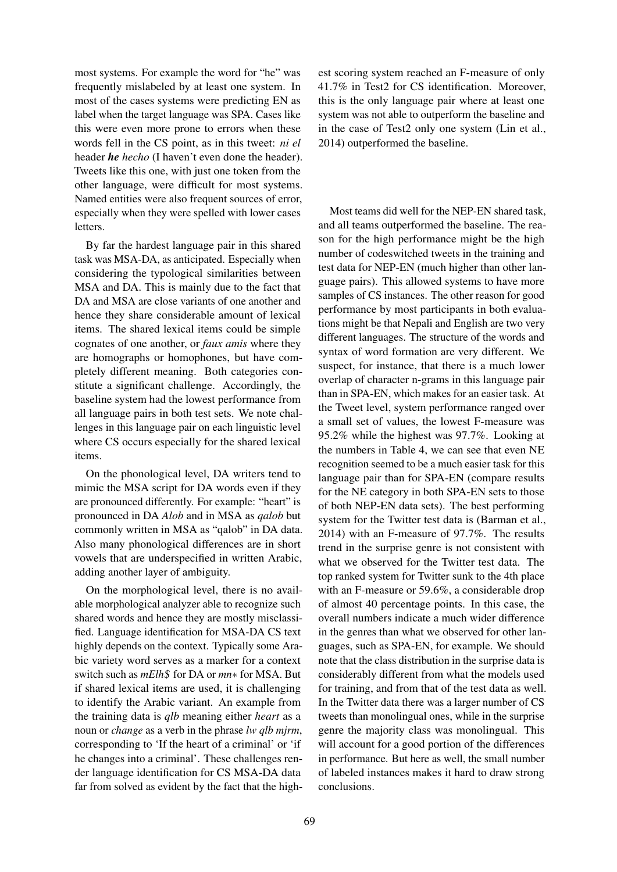most systems. For example the word for "he" was frequently mislabeled by at least one system. In most of the cases systems were predicting EN as label when the target language was SPA. Cases like this were even more prone to errors when these words fell in the CS point, as in this tweet: *ni el* header *he hecho* (I haven't even done the header). Tweets like this one, with just one token from the other language, were difficult for most systems. Named entities were also frequent sources of error, especially when they were spelled with lower cases letters.

By far the hardest language pair in this shared task was MSA-DA, as anticipated. Especially when considering the typological similarities between MSA and DA. This is mainly due to the fact that DA and MSA are close variants of one another and hence they share considerable amount of lexical items. The shared lexical items could be simple cognates of one another, or *faux amis* where they are homographs or homophones, but have completely different meaning. Both categories constitute a significant challenge. Accordingly, the baseline system had the lowest performance from all language pairs in both test sets. We note challenges in this language pair on each linguistic level where CS occurs especially for the shared lexical items.

On the phonological level, DA writers tend to mimic the MSA script for DA words even if they are pronounced differently. For example: "heart" is pronounced in DA *Alob* and in MSA as *qalob* but commonly written in MSA as "qalob" in DA data. Also many phonological differences are in short vowels that are underspecified in written Arabic, adding another layer of ambiguity.

On the morphological level, there is no available morphological analyzer able to recognize such shared words and hence they are mostly misclassified. Language identification for MSA-DA CS text highly depends on the context. Typically some Arabic variety word serves as a marker for a context switch such as *mElh*\$ for DA or *mn*∗ for MSA. But if shared lexical items are used, it is challenging to identify the Arabic variant. An example from the training data is *qlb* meaning either *heart* as a noun or *change* as a verb in the phrase *lw qlb mjrm*, corresponding to 'If the heart of a criminal' or 'if he changes into a criminal'. These challenges render language identification for CS MSA-DA data far from solved as evident by the fact that the high-

est scoring system reached an F-measure of only 41.7% in Test2 for CS identification. Moreover, this is the only language pair where at least one system was not able to outperform the baseline and in the case of Test2 only one system (Lin et al., 2014) outperformed the baseline.

Most teams did well for the NEP-EN shared task, and all teams outperformed the baseline. The reason for the high performance might be the high number of codeswitched tweets in the training and test data for NEP-EN (much higher than other language pairs). This allowed systems to have more samples of CS instances. The other reason for good performance by most participants in both evaluations might be that Nepali and English are two very different languages. The structure of the words and syntax of word formation are very different. We suspect, for instance, that there is a much lower overlap of character n-grams in this language pair than in SPA-EN, which makes for an easier task. At the Tweet level, system performance ranged over a small set of values, the lowest F-measure was 95.2% while the highest was 97.7%. Looking at the numbers in Table 4, we can see that even NE recognition seemed to be a much easier task for this language pair than for SPA-EN (compare results for the NE category in both SPA-EN sets to those of both NEP-EN data sets). The best performing system for the Twitter test data is (Barman et al., 2014) with an F-measure of 97.7%. The results trend in the surprise genre is not consistent with what we observed for the Twitter test data. The top ranked system for Twitter sunk to the 4th place with an F-measure or 59.6%, a considerable drop of almost 40 percentage points. In this case, the overall numbers indicate a much wider difference in the genres than what we observed for other languages, such as SPA-EN, for example. We should note that the class distribution in the surprise data is considerably different from what the models used for training, and from that of the test data as well. In the Twitter data there was a larger number of CS tweets than monolingual ones, while in the surprise genre the majority class was monolingual. This will account for a good portion of the differences in performance. But here as well, the small number of labeled instances makes it hard to draw strong conclusions.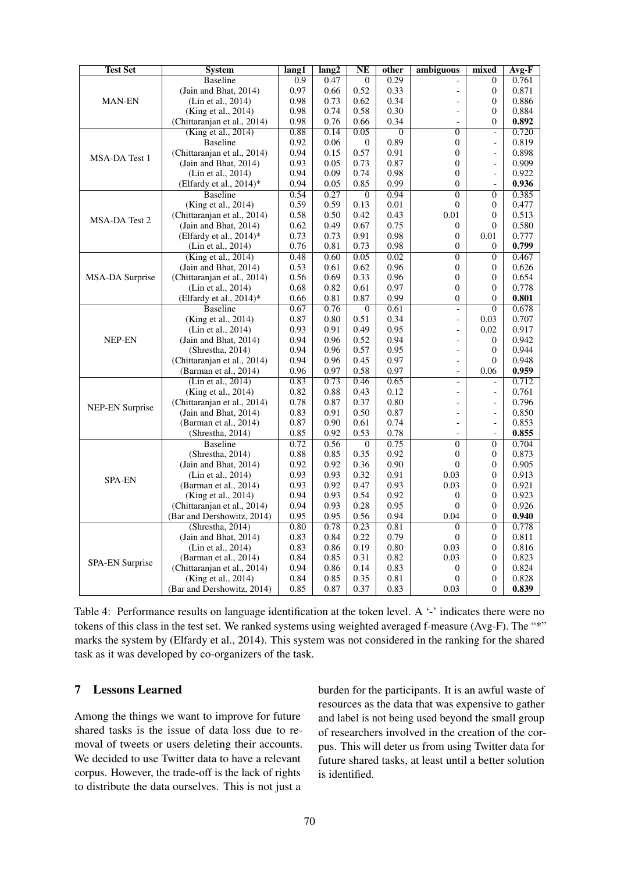| <b>Test Set</b>        | <b>System</b>               | lang1            | lang2 | NE               | other          | ambiguous                | mixed                    | $Avg-F$ |
|------------------------|-----------------------------|------------------|-------|------------------|----------------|--------------------------|--------------------------|---------|
|                        | <b>Baseline</b>             | $\overline{0.9}$ | 0.47  | $\boldsymbol{0}$ | 0.29           |                          | $\overline{0}$           | 0.761   |
| <b>MAN-EN</b>          | (Jain and Bhat, 2014)       | 0.97             | 0.66  | 0.52             | 0.33           | $\overline{a}$           | $\theta$                 | 0.871   |
|                        | (Lin et al., 2014)          | 0.98             | 0.73  | 0.62             | 0.34           | ÷,                       | $\theta$                 | 0.886   |
|                        | (King et al., 2014)         | 0.98             | 0.74  | 0.58             | 0.30           | $\overline{a}$           | $\Omega$                 | 0.884   |
|                        | (Chittaranjan et al., 2014) | 0.98             | 0.76  | 0.66             | 0.34           |                          | $\overline{0}$           | 0.892   |
|                        | (King et al., 2014)         | 0.88             | 0.14  | 0.05             | $\overline{0}$ | $\overline{0}$           | $\overline{a}$           | 0.720   |
|                        | <b>Baseline</b>             | 0.92             | 0.06  | 0                | 0.89           | $\boldsymbol{0}$         | $\overline{\phantom{a}}$ | 0.819   |
| MSA-DA Test 1          | (Chittaranjan et al., 2014) | 0.94             | 0.15  | 0.57             | 0.91           | $\overline{0}$           | $\overline{a}$           | 0.898   |
|                        | (Jain and Bhat, 2014)       | 0.93             | 0.05  | 0.73             | 0.87           | $\boldsymbol{0}$         | $\overline{a}$           | 0.909   |
|                        | (Lin et al., 2014)          | 0.94             | 0.09  | 0.74             | 0.98           | $\Omega$                 | $\qquad \qquad -$        | 0.922   |
|                        | (Elfardy et al., $2014$ )*  | 0.94             | 0.05  | 0.85             | 0.99           | $\theta$                 | $\frac{1}{2}$            | 0.936   |
|                        | <b>Baseline</b>             | 0.54             | 0.27  | $\overline{0}$   | 0.94           | $\overline{0}$           | $\overline{0}$           | 0.385   |
|                        | (King et al., 2014)         | 0.59             | 0.59  | 0.13             | 0.01           | $\theta$                 | $\mathbf{0}$             | 0.477   |
| MSA-DA Test 2          | (Chittaranjan et al., 2014) | 0.58             | 0.50  | 0.42             | 0.43           | 0.01                     | $\theta$                 | 0.513   |
|                        | (Jain and Bhat, 2014)       | 0.62             | 0.49  | 0.67             | 0.75           | $\mathbf{0}$             | $\Omega$                 | 0.580   |
|                        | (Elfardy et al., 2014)*     | 0.73             | 0.73  | 0.91             | 0.98           | $\mathbf{0}$             | 0.01                     | 0.777   |
|                        | (Lin et al., 2014)          | 0.76             | 0.81  | 0.73             | 0.98           | $\mathbf{0}$             | $\theta$                 | 0.799   |
|                        | (King et al., 2014)         | 0.48             | 0.60  | 0.05             | 0.02           | $\overline{0}$           | $\overline{0}$           | 0.467   |
|                        | (Jain and Bhat, $2014$ )    | 0.53             | 0.61  | 0.62             | 0.96           | $\boldsymbol{0}$         | 0                        | 0.626   |
| MSA-DA Surprise        | (Chittaranjan et al., 2014) | 0.56             | 0.69  | 0.33             | 0.96           | $\mathbf{0}$             | $\theta$                 | 0.654   |
|                        | (Lin et al., 2014)          | 0.68             | 0.82  | 0.61             | 0.97           | $\overline{0}$           | $\theta$                 | 0.778   |
|                        | (Elfardy et al., 2014)*     | 0.66             | 0.81  | 0.87             | 0.99           | $\Omega$                 | $\Omega$                 | 0.801   |
|                        | <b>Baseline</b>             | 0.67             | 0.76  | $\boldsymbol{0}$ | 0.61           | $\overline{\phantom{a}}$ | $\overline{0}$           | 0.678   |
|                        | (King et al., 2014)         | 0.87             | 0.80  | 0.51             | 0.34           | $\overline{\phantom{a}}$ | 0.03                     | 0.707   |
|                        | (Lin et al., 2014)          | 0.93             | 0.91  | 0.49             | 0.95           | $\overline{a}$           | 0.02                     | 0.917   |
| NEP-EN                 | (Jain and Bhat, 2014)       | 0.94             | 0.96  | 0.52             | 0.94           | $\overline{a}$           | $\theta$                 | 0.942   |
|                        | (Shrestha, 2014)            | 0.94             | 0.96  | 0.57             | 0.95           | $\overline{a}$           | $\mathbf{0}$             | 0.944   |
|                        | (Chittaranjan et al., 2014) | 0.94             | 0.96  | 0.45             | 0.97           | $\overline{a}$           | $\Omega$                 | 0.948   |
|                        | (Barman et al., 2014)       | 0.96             | 0.97  | 0.58             | 0.97           | $\overline{a}$           | 0.06                     | 0.959   |
|                        | (Lin et al., 2014)          | 0.83             | 0.73  | 0.46             | 0.65           | $\overline{a}$           |                          | 0.712   |
|                        | (King et al., 2014)         | 0.82             | 0.88  | 0.43             | 0.12           | $\overline{a}$           | $\overline{\phantom{a}}$ | 0.761   |
| <b>NEP-EN Surprise</b> | (Chittaranjan et al., 2014) | 0.78             | 0.87  | 0.37             | 0.80           |                          | $\overline{a}$           | 0.796   |
|                        | (Jain and Bhat, 2014)       | 0.83             | 0.91  | 0.50             | 0.87           |                          | $\overline{\phantom{a}}$ | 0.850   |
|                        | (Barman et al., 2014)       | 0.87             | 0.90  | 0.61             | 0.74           | $\overline{a}$           | $\overline{\phantom{a}}$ | 0.853   |
|                        | (Shrestha, 2014)            | 0.85             | 0.92  | 0.53             | 0.78           | $\overline{a}$           | $\overline{a}$           | 0.855   |
|                        | <b>Baseline</b>             | 0.72             | 0.56  | $\boldsymbol{0}$ | 0.75           | $\overline{0}$           | $\overline{0}$           | 0.704   |
|                        | (Shrestha, 2014)            | 0.88             | 0.85  | 0.35             | 0.92           | $\theta$                 | $\mathbf{0}$             | 0.873   |
|                        | (Jain and Bhat, 2014)       | 0.92             | 0.92  | 0.36             | 0.90           | $\Omega$                 | $\Omega$                 | 0.905   |
| <b>SPA-EN</b>          | (Lin et al., 2014)          | 0.93             | 0.93  | 0.32             | 0.91           | 0.03                     | $\Omega$                 | 0.913   |
|                        | (Barman et al., 2014)       | 0.93             | 0.92  | 0.47             | 0.93           | 0.03                     | $\theta$                 | 0.921   |
|                        | (King et al., 2014)         | 0.94             | 0.93  | 0.54             | 0.92           | $\boldsymbol{0}$         | $\Omega$                 | 0.923   |
|                        | (Chittaranjan et al., 2014) | 0.94             | 0.93  | 0.28             | 0.95           | $\theta$                 | $\mathbf{0}$             | 0.926   |
|                        | (Bar and Dershowitz, 2014)  | 0.95             | 0.95  | 0.56             | 0.94           | 0.04                     | $\Omega$                 | 0.940   |
|                        | (Shresha, 2014)             | 0.80             | 0.78  | 0.23             | 0.81           | $\theta$                 | $\mathbf{0}$             | 0.778   |
| <b>SPA-EN Surprise</b> | (Jain and Bhat, 2014)       | 0.83             | 0.84  | 0.22             | 0.79           | $\boldsymbol{0}$         | $\Omega$                 | 0.811   |
|                        | (Lin et al., 2014)          | 0.83             | 0.86  | 0.19             | 0.80           | 0.03                     | $\mathbf{0}$             | 0.816   |
|                        | (Barman et al., 2014)       | 0.84             | 0.85  | 0.31             | 0.82           | 0.03                     | $\Omega$                 | 0.823   |
|                        | (Chittaranjan et al., 2014) | 0.94             | 0.86  | 0.14             | 0.83           | $\mathbf{0}$             | $\theta$                 | 0.824   |
|                        | (King et al., 2014)         | 0.84             | 0.85  | 0.35             | 0.81           | $\Omega$                 | $\theta$                 | 0.828   |
|                        | (Bar and Dershowitz, 2014)  | 0.85             | 0.87  | 0.37             | 0.83           | 0.03                     | $\mathbf{0}$             | 0.839   |

Table 4: Performance results on language identification at the token level. A '-' indicates there were no tokens of this class in the test set. We ranked systems using weighted averaged f-measure (Avg-F). The "\*" marks the system by (Elfardy et al., 2014). This system was not considered in the ranking for the shared task as it was developed by co-organizers of the task.

# 7 Lessons Learned

Among the things we want to improve for future shared tasks is the issue of data loss due to removal of tweets or users deleting their accounts. We decided to use Twitter data to have a relevant corpus. However, the trade-off is the lack of rights to distribute the data ourselves. This is not just a

burden for the participants. It is an awful waste of resources as the data that was expensive to gather and label is not being used beyond the small group of researchers involved in the creation of the corpus. This will deter us from using Twitter data for future shared tasks, at least until a better solution is identified.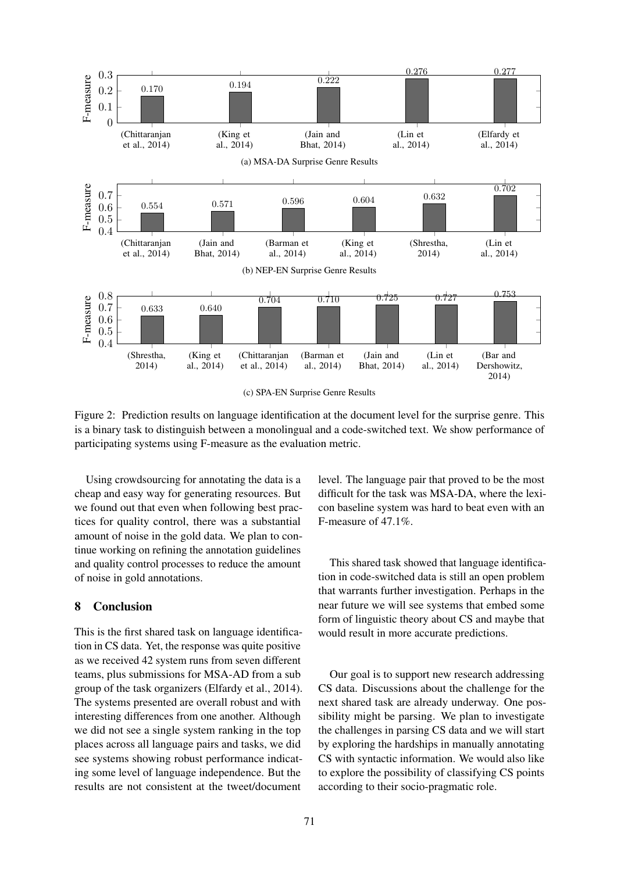

(c) SPA-EN Surprise Genre Results

Figure 2: Prediction results on language identification at the document level for the surprise genre. This is a binary task to distinguish between a monolingual and a code-switched text. We show performance of participating systems using F-measure as the evaluation metric.

Using crowdsourcing for annotating the data is a cheap and easy way for generating resources. But we found out that even when following best practices for quality control, there was a substantial amount of noise in the gold data. We plan to continue working on refining the annotation guidelines and quality control processes to reduce the amount of noise in gold annotations.

# 8 Conclusion

This is the first shared task on language identification in CS data. Yet, the response was quite positive as we received 42 system runs from seven different teams, plus submissions for MSA-AD from a sub group of the task organizers (Elfardy et al., 2014). The systems presented are overall robust and with interesting differences from one another. Although we did not see a single system ranking in the top places across all language pairs and tasks, we did see systems showing robust performance indicating some level of language independence. But the results are not consistent at the tweet/document

level. The language pair that proved to be the most difficult for the task was MSA-DA, where the lexicon baseline system was hard to beat even with an F-measure of 47.1%.

This shared task showed that language identification in code-switched data is still an open problem that warrants further investigation. Perhaps in the near future we will see systems that embed some form of linguistic theory about CS and maybe that would result in more accurate predictions.

Our goal is to support new research addressing CS data. Discussions about the challenge for the next shared task are already underway. One possibility might be parsing. We plan to investigate the challenges in parsing CS data and we will start by exploring the hardships in manually annotating CS with syntactic information. We would also like to explore the possibility of classifying CS points according to their socio-pragmatic role.